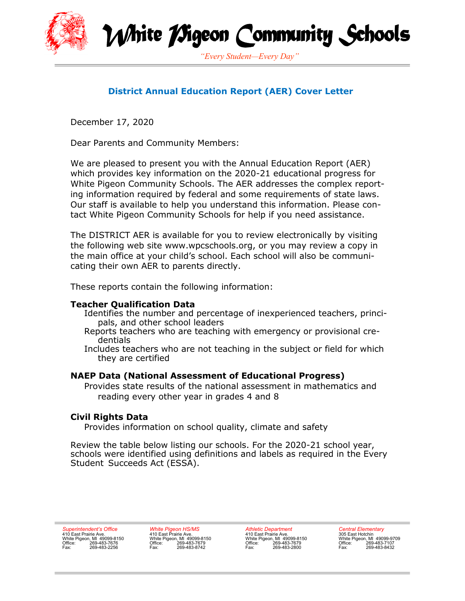



# **District Annual Education Report (AER) Cover Letter**

December 17, 2020

Dear Parents and Community Members:

We are pleased to present you with the Annual Education Report (AER) which provides key information on the 2020-21 educational progress for White Pigeon Community Schools. The AER addresses the complex reporting information required by federal and some requirements of state laws. Our staff is available to help you understand this information. Please contact White Pigeon Community Schools for help if you need assistance.

The DISTRICT AER is available for you to review electronically by visiting the following web site www.wpcschools.org, or you may review a copy in the main office at your child's school. Each school will also be communicating their own AER to parents directly.

These reports contain the following information:

### **Teacher Qualification Data**

- Identifies the number and percentage of inexperienced teachers, principals, and other school leaders
- Reports teachers who are teaching with emergency or provisional credentials
- Includes teachers who are not teaching in the subject or field for which they are certified

### **NAEP Data (National Assessment of Educational Progress)**

Provides state results of the national assessment in mathematics and reading every other year in grades 4 and 8

### **Civil Rights Data**

Provides information on school quality, climate and safety

Review the table below listing our schools. For the 2020-21 school year, schools were identified using definitions and labels as required in the Every Student Succeeds Act (ESSA).

*Superintendent's Office* 410 East Prairie Ave. White Pigeon, MI 49099-8150 Office: 269-483-7676 Fax: 269-483-2256 *White Pigeon HS/MS* 410 East Prairie Ave. White Pigeon, MI 49099-8150 Office: 269-483-7679 Fax: 269-483-8742

*Athletic Department* 410 East Prairie Ave. White Pigeon, MI 49099-8150 Office: 269-483-7679 Fax: 269-483-2800

*Central Elementary*<br>305 East Hotchin<br>White Pigeon, MI 49099-9709<br>Office: 269-483-7107<br>Fax: 269-483-8432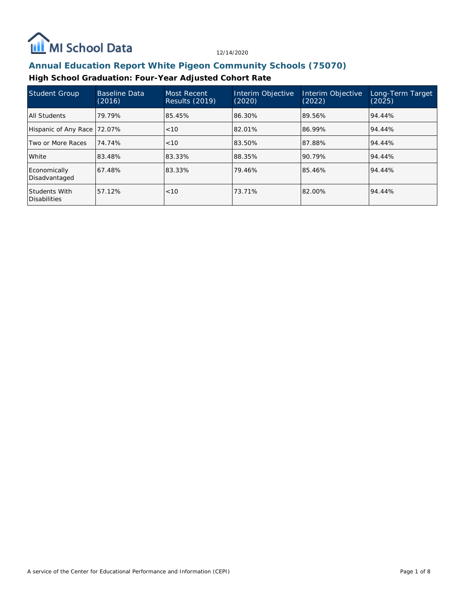

## **Annual Education Report White Pigeon Community Schools (75070)**

### **High School Graduation: Four-Year Adjusted Cohort Rate**

| Student Group                        | <b>Baseline Data</b><br>(2016) | Most Recent<br><b>Results (2019)</b> | Interim Objective<br>(2020) | Interim Objective<br>(2022) | Long-Term Target<br>(2025) |
|--------------------------------------|--------------------------------|--------------------------------------|-----------------------------|-----------------------------|----------------------------|
| All Students                         | 79.79%                         | 85.45%                               | 86.30%                      | 89.56%                      | 94.44%                     |
| Hispanic of Any Race 72.07%          |                                | < 10                                 | 82.01%                      | 86.99%                      | 94.44%                     |
| Two or More Races                    | 74.74%                         | < 10                                 | 83.50%                      | 87.88%                      | 94.44%                     |
| l White                              | 83.48%                         | 83.33%                               | 88.35%                      | 90.79%                      | 94.44%                     |
| Economically<br>Disadvantaged        | 67.48%                         | 83.33%                               | 79.46%                      | 85.46%                      | 94.44%                     |
| Students With<br><b>Disabilities</b> | 57.12%                         | < 10                                 | 73.71%                      | 82.00%                      | 94.44%                     |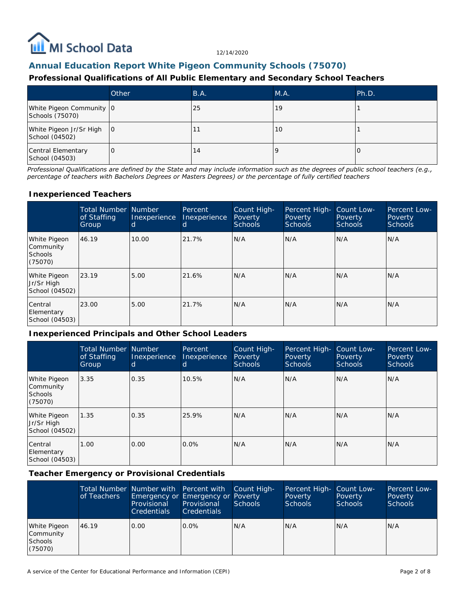

### **Annual Education Report White Pigeon Community Schools (75070)**

#### **Professional Qualifications of All Public Elementary and Secondary School Teachers**

|                                             | Other | B.A. | M.A. | Ph.D. |
|---------------------------------------------|-------|------|------|-------|
| White Pigeon Community 0<br>Schools (75070) |       | 25   | 19   |       |
| White Pigeon Jr/Sr High<br>School (04502)   | 10    |      | 10   |       |
| Central Elementary<br>School (04503)        | ۱O    | 14   |      |       |

*Professional Qualifications are defined by the State and may include information such as the degrees of public school teachers (e.g., percentage of teachers with Bachelors Degrees or Masters Degrees) or the percentage of fully certified teachers*

#### **Inexperienced Teachers**

|                                                        | <b>Total Number Number</b><br>of Staffing<br>Group | Inexperience<br>d | Percent<br>Inexperience<br>d | Count High-<br>Poverty<br><b>Schools</b> | Percent High-<br>Poverty<br><b>Schools</b> | Count Low-<br>Poverty<br><b>Schools</b> | Percent Low-<br>Poverty<br><b>Schools</b> |
|--------------------------------------------------------|----------------------------------------------------|-------------------|------------------------------|------------------------------------------|--------------------------------------------|-----------------------------------------|-------------------------------------------|
| White Pigeon<br>Community<br><b>Schools</b><br>(75070) | 46.19                                              | 10.00             | 21.7%                        | N/A                                      | N/A                                        | N/A                                     | N/A                                       |
| White Pigeon<br>Jr/Sr High<br>School (04502)           | 23.19                                              | 5.00              | 21.6%                        | N/A                                      | N/A                                        | N/A                                     | N/A                                       |
| Central<br>Elementary<br>School (04503)                | 23.00                                              | 5.00              | 21.7%                        | N/A                                      | N/A                                        | N/A                                     | N/A                                       |

#### **Inexperienced Principals and Other School Leaders**

|                                                        | <b>Total Number</b><br>of Staffing<br>Group | <b>Number</b><br>Inexperience<br>d | Percent<br>Inexperience<br>d | Count High-<br><b>Poverty</b><br><b>Schools</b> | Percent High-<br>Poverty<br>Schools | Count Low-<br><b>Poverty</b><br><b>Schools</b> | Percent Low-<br>Poverty<br><b>Schools</b> |
|--------------------------------------------------------|---------------------------------------------|------------------------------------|------------------------------|-------------------------------------------------|-------------------------------------|------------------------------------------------|-------------------------------------------|
| White Pigeon<br>Community<br><b>Schools</b><br>(75070) | 3.35                                        | 0.35                               | 10.5%                        | N/A                                             | N/A                                 | N/A                                            | N/A                                       |
| White Pigeon<br>Jr/Sr High<br>School (04502)           | 1.35                                        | 0.35                               | 25.9%                        | N/A                                             | N/A                                 | N/A                                            | N/A                                       |
| Central<br>Elementary<br>School (04503)                | 1.00                                        | 0.00                               | $0.0\%$                      | N/A                                             | N/A                                 | N/A                                            | N/A                                       |

**Teacher Emergency or Provisional Credentials**

|                                                 | of Teachers | Total Number Number with Percent with Count High-<br>Emergency or Emergency or Poverty<br>Provisional<br><b>Credentials</b> | Provisional<br><b>Credentials</b> | Schools | Percent High- Count Low-<br>Poverty<br><b>Schools</b> | Poverty<br><b>Schools</b> | Percent Low-<br>Poverty<br><b>Schools</b> |
|-------------------------------------------------|-------------|-----------------------------------------------------------------------------------------------------------------------------|-----------------------------------|---------|-------------------------------------------------------|---------------------------|-------------------------------------------|
| White Pigeon<br>Community<br>Schools<br>(75070) | 46.19       | 0.00                                                                                                                        | $0.0\%$                           | N/A     | N/A                                                   | N/A                       | N/A                                       |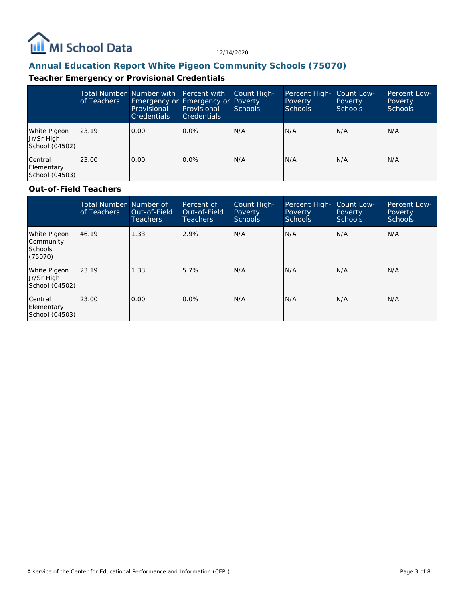

# **Annual Education Report White Pigeon Community Schools (75070)**

## **Teacher Emergency or Provisional Credentials**

|                                              | of Teachers | Total Number Number with Percent with<br>Emergency or Emergency or Poverty<br>Provisional<br><b>Credentials</b> | Provisional<br><b>Credentials</b> | Count High-<br><b>Schools</b> | Percent High- Count Low-<br>Poverty<br>Schools | Poverty<br><b>Schools</b> | Percent Low-<br>Poverty<br><b>Schools</b> |
|----------------------------------------------|-------------|-----------------------------------------------------------------------------------------------------------------|-----------------------------------|-------------------------------|------------------------------------------------|---------------------------|-------------------------------------------|
| White Pigeon<br>Jr/Sr High<br>School (04502) | 123.19      | 0.00                                                                                                            | $0.0\%$                           | N/A                           | N/A                                            | N/A                       | N/A                                       |
| Central<br>Elementary<br>School (04503)      | 23.00       | 0.00                                                                                                            | $0.0\%$                           | N/A                           | N/A                                            | N/A                       | IN/A                                      |

### **Out-of-Field Teachers**

|                                                        | Total Number Number of<br>of Teachers | Out-of-Field<br><b>Teachers</b> | Percent of<br>Out-of-Field<br><b>Teachers</b> | Count High-<br>Poverty<br>Schools | Percent High-<br>Poverty<br><b>Schools</b> | Count Low-<br>Poverty<br><b>Schools</b> | Percent Low-<br>Poverty<br><b>Schools</b> |
|--------------------------------------------------------|---------------------------------------|---------------------------------|-----------------------------------------------|-----------------------------------|--------------------------------------------|-----------------------------------------|-------------------------------------------|
| White Pigeon<br>Community<br><b>Schools</b><br>(75070) | 46.19                                 | 1.33                            | 2.9%                                          | N/A                               | N/A                                        | N/A                                     | N/A                                       |
| White Pigeon<br>Jr/Sr High<br>School (04502)           | 23.19                                 | 1.33                            | 5.7%                                          | N/A                               | N/A                                        | N/A                                     | N/A                                       |
| Central<br>Elementary<br>School (04503)                | 23.00                                 | 0.00                            | $0.0\%$                                       | N/A                               | N/A                                        | N/A                                     | N/A                                       |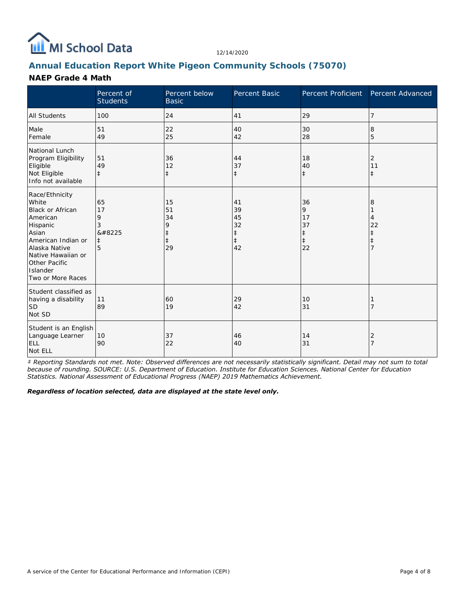

## **Annual Education Report White Pigeon Community Schools (75070)**

#### **NAEP Grade 4 Math**

|                                                                                                                                                                                             | Percent of<br><b>Students</b>              | Percent below<br><b>Basic</b>                         | Percent Basic                                          | Percent Proficient                                    | Percent Advanced       |
|---------------------------------------------------------------------------------------------------------------------------------------------------------------------------------------------|--------------------------------------------|-------------------------------------------------------|--------------------------------------------------------|-------------------------------------------------------|------------------------|
| <b>All Students</b>                                                                                                                                                                         | 100                                        | 24                                                    | 41                                                     | 29                                                    | 7                      |
| Male<br>Female                                                                                                                                                                              | 51<br>49                                   | 22<br>25                                              | 40<br>42                                               | 30<br>28                                              | 8<br>5                 |
| National Lunch<br>Program Eligibility<br>Eligible<br>Not Eligible<br>Info not available                                                                                                     | 51<br>49<br>$\ddagger$                     | 36<br>12<br>$\ddagger$                                | 44<br>37<br>$\ddagger$                                 | 18<br>40<br>$\ddagger$                                | 2<br>11<br>$\pm$       |
| Race/Ethnicity<br>White<br>Black or African<br>American<br>Hispanic<br>Asian<br>American Indian or<br>Alaska Native<br>Native Hawaiian or<br>Other Pacific<br>Islander<br>Two or More Races | 65<br>17<br>9<br>3<br>‡<br>$\ddagger$<br>5 | 15<br>51<br>34<br>9<br>$\ddagger$<br>$\ddagger$<br>29 | 41<br>39<br>45<br>32<br>$\ddagger$<br>$\ddagger$<br>42 | 36<br>9<br>17<br>37<br>$\ddagger$<br>$\ddagger$<br>22 | 8<br>4<br>22<br>⇟<br>7 |
| Student classified as<br>having a disability<br><b>SD</b><br>Not SD                                                                                                                         | 11<br>89                                   | 60<br>19                                              | 29<br>42                                               | 10<br>31                                              |                        |
| Student is an English<br>Language Learner<br><b>ELL</b><br>Not ELL                                                                                                                          | 10<br>90                                   | 37<br>22                                              | 46<br>40                                               | 14<br>31                                              | 2<br>7                 |

*‡ Reporting Standards not met. Note: Observed differences are not necessarily statistically significant. Detail may not sum to total because of rounding. SOURCE: U.S. Department of Education. Institute for Education Sciences. National Center for Education Statistics. National Assessment of Educational Progress (NAEP) 2019 Mathematics Achievement.*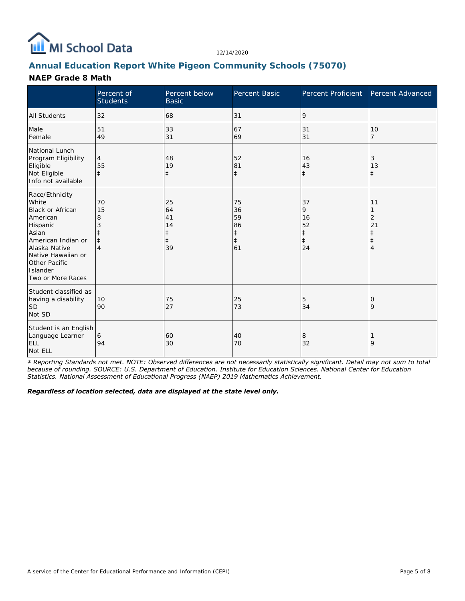

## **Annual Education Report White Pigeon Community Schools (75070)**

#### **NAEP Grade 8 Math**

|                                                                                                                                                                                                           | Percent of<br><b>Students</b>                      | Percent below<br><b>Basic</b>                          | <b>Percent Basic</b>                                   | Percent Proficient                                    | Percent Advanced                               |
|-----------------------------------------------------------------------------------------------------------------------------------------------------------------------------------------------------------|----------------------------------------------------|--------------------------------------------------------|--------------------------------------------------------|-------------------------------------------------------|------------------------------------------------|
| <b>All Students</b>                                                                                                                                                                                       | 32                                                 | 68                                                     | 31                                                     | 9                                                     |                                                |
| Male<br>Female                                                                                                                                                                                            | 51<br>49                                           | 33<br>31                                               | 67<br>69                                               | 31<br>31                                              | 10<br>7                                        |
| National Lunch<br>Program Eligibility<br>Eligible<br>Not Eligible<br>Info not available                                                                                                                   | $\overline{4}$<br>55<br>$\pm$                      | 48<br>19<br>$\ddagger$                                 | 52<br>81<br>$\ddagger$                                 | 16<br>43<br>$\ddagger$                                | 3<br>13<br>$\ddagger$                          |
| Race/Ethnicity<br>White<br><b>Black or African</b><br>American<br>Hispanic<br>Asian<br>American Indian or<br>Alaska Native<br>Native Hawaiian or<br><b>Other Pacific</b><br>Islander<br>Two or More Races | 70<br>15<br>8<br>3<br>$\ddagger$<br>$\overline{4}$ | 25<br>64<br>41<br>14<br>$\ddagger$<br>$\ddagger$<br>39 | 75<br>36<br>59<br>86<br>$\ddagger$<br>$\ddagger$<br>61 | 37<br>9<br>16<br>52<br>$\ddagger$<br>$\ddagger$<br>24 | 11<br>2<br>21<br>$\ddagger$<br>$\ddagger$<br>4 |
| Student classified as<br>having a disability<br><b>SD</b><br>Not SD                                                                                                                                       | 10<br>90                                           | 75<br>27                                               | 25<br>73                                               | 5<br>34                                               | 0<br>9                                         |
| Student is an English<br>Language Learner<br><b>ELL</b><br>Not ELL                                                                                                                                        | 6<br>94                                            | 60<br>30                                               | 40<br>70                                               | 8<br>32                                               | 9                                              |

*‡ Reporting Standards not met. NOTE: Observed differences are not necessarily statistically significant. Detail may not sum to total because of rounding. SOURCE: U.S. Department of Education. Institute for Education Sciences. National Center for Education Statistics. National Assessment of Educational Progress (NAEP) 2019 Mathematics Achievement.*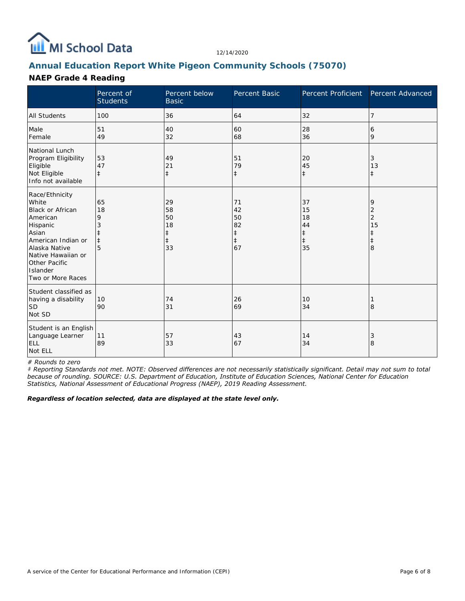

## **Annual Education Report White Pigeon Community Schools (75070)**

### **NAEP Grade 4 Reading**

|                                                                                                                                                                                             | Percent of<br><b>Students</b> | Percent below<br><b>Basic</b>                 | Percent Basic                                          | Percent Proficient                                     | Percent Advanced                                  |
|---------------------------------------------------------------------------------------------------------------------------------------------------------------------------------------------|-------------------------------|-----------------------------------------------|--------------------------------------------------------|--------------------------------------------------------|---------------------------------------------------|
| <b>All Students</b>                                                                                                                                                                         | 100                           | 36                                            | 64                                                     | 32                                                     | 7                                                 |
| Male<br>Female                                                                                                                                                                              | 51<br>49                      | 40<br>32                                      | 60<br>68                                               | 28<br>36                                               | 6<br>9                                            |
| National Lunch<br>Program Eligibility<br>Eligible<br>Not Eligible<br>Info not available                                                                                                     | 53<br>47<br>$\pm$             | 49<br>21<br>$\ddagger$                        | 51<br>79<br>$\ddagger$                                 | 20<br>45<br>$\ddagger$                                 | 3<br>13<br>ŧ.                                     |
| Race/Ethnicity<br>White<br>Black or African<br>American<br>Hispanic<br>Asian<br>American Indian or<br>Alaska Native<br>Native Hawaiian or<br>Other Pacific<br>Islander<br>Two or More Races | 65<br>18<br>9<br>$\ddagger$   | 29<br>58<br>50<br>18<br>‡<br>$\ddagger$<br>33 | 71<br>42<br>50<br>82<br>$\ddagger$<br>$\ddagger$<br>67 | 37<br>15<br>18<br>44<br>$\ddagger$<br>$\ddagger$<br>35 | 9<br>2<br>$\overline{2}$<br>15<br>$\ddagger$<br>8 |
| Student classified as<br>having a disability<br><b>SD</b><br>Not SD                                                                                                                         | 10<br>90                      | 74<br>31                                      | 26<br>69                                               | 10<br>34                                               | 8                                                 |
| Student is an English<br>Language Learner<br><b>ELL</b><br>Not ELL                                                                                                                          | 11<br>89                      | 57<br>33                                      | 43<br>67                                               | 14<br>34                                               | 3<br>8                                            |

*# Rounds to zero*

*‡ Reporting Standards not met. NOTE: Observed differences are not necessarily statistically significant. Detail may not sum to total because of rounding. SOURCE: U.S. Department of Education, Institute of Education Sciences, National Center for Education Statistics, National Assessment of Educational Progress (NAEP), 2019 Reading Assessment.*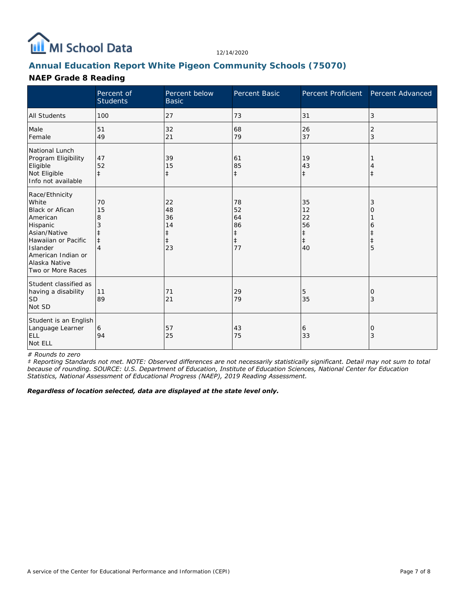

## **Annual Education Report White Pigeon Community Schools (75070)**

### **NAEP Grade 8 Reading**

|                                                                                                                                                                                          | Percent of<br><b>Students</b> | Percent below<br><b>Basic</b>                          | Percent Basic                                          | Percent Proficient                                     | Percent Advanced |
|------------------------------------------------------------------------------------------------------------------------------------------------------------------------------------------|-------------------------------|--------------------------------------------------------|--------------------------------------------------------|--------------------------------------------------------|------------------|
| <b>All Students</b>                                                                                                                                                                      | 100                           | 27                                                     | 73                                                     | 31                                                     | 3                |
| Male<br>Female                                                                                                                                                                           | 51<br>49                      | 32<br>21                                               | 68<br>79                                               | 26<br>37                                               | 2<br>3           |
| National Lunch<br>Program Eligibility<br>Eligible<br>Not Eligible<br>Info not available                                                                                                  | 47<br>52<br>$\ddagger$        | 39<br>15<br>$\ddagger$                                 | 61<br>85<br>$\ddagger$                                 | 19<br>43<br>$\ddagger$                                 | $\ddagger$       |
| Race/Ethnicity<br>White<br><b>Black or Afican</b><br>American<br>Hispanic<br>Asian/Native<br>Hawaiian or Pacific<br>Islander<br>American Indian or<br>Alaska Native<br>Two or More Races | 70<br>15<br>8                 | 22<br>48<br>36<br>14<br>$\ddagger$<br>$\ddagger$<br>23 | 78<br>52<br>64<br>86<br>$\ddagger$<br>$\ddagger$<br>77 | 35<br>12<br>22<br>56<br>$\ddagger$<br>$\ddagger$<br>40 | 3<br>Ο<br>6<br>5 |
| Student classified as<br>having a disability<br><b>SD</b><br>Not SD                                                                                                                      | 11<br>89                      | 71<br>21                                               | 29<br>79                                               | 5<br>35                                                | O<br>3           |
| Student is an English<br>Language Learner<br><b>ELL</b><br>Not ELL                                                                                                                       | 6<br>94                       | 57<br>25                                               | 43<br>75                                               | 6<br>33                                                | 0<br>3           |

*# Rounds to zero*

*‡ Reporting Standards not met. NOTE: Observed differences are not necessarily statistically significant. Detail may not sum to total because of rounding. SOURCE: U.S. Department of Education, Institute of Education Sciences, National Center for Education Statistics, National Assessment of Educational Progress (NAEP), 2019 Reading Assessment.*